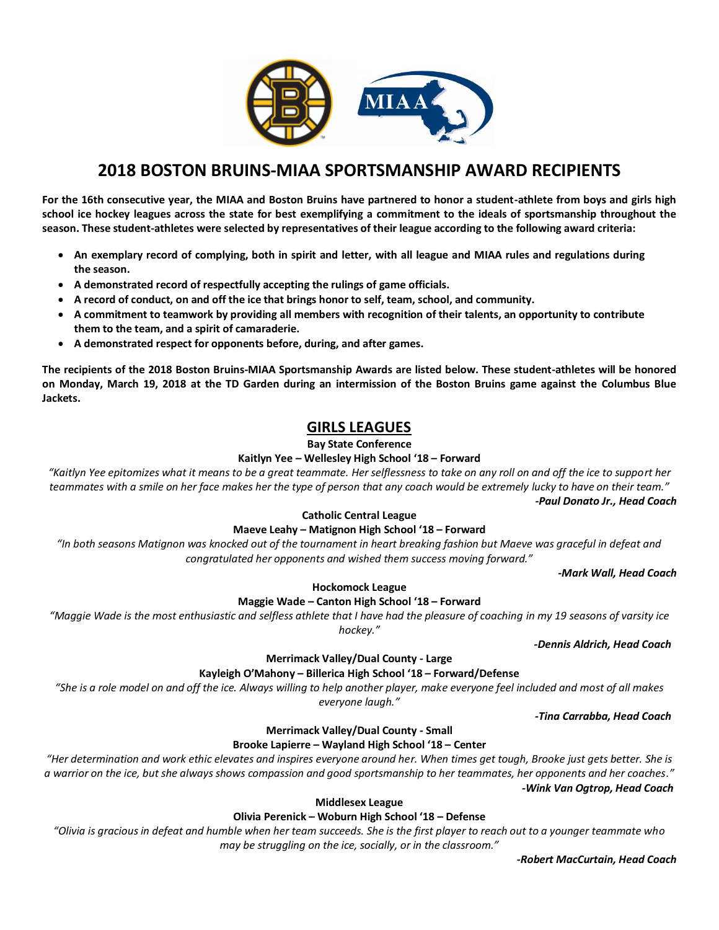

**For the 16th consecutive year, the MIAA and Boston Bruins have partnered to honor a student-athlete from boys and girls high school ice hockey leagues across the state for best exemplifying a commitment to the ideals of sportsmanship throughout the season. These student-athletes were selected by representatives of their league according to the following award criteria:** 

- **An exemplary record of complying, both in spirit and letter, with all league and MIAA rules and regulations during the season.**
- **A demonstrated record of respectfully accepting the rulings of game officials.**
- **A record of conduct, on and off the ice that brings honor to self, team, school, and community.**
- **A commitment to teamwork by providing all members with recognition of their talents, an opportunity to contribute them to the team, and a spirit of camaraderie.**
- **A demonstrated respect for opponents before, during, and after games.**

**The recipients of the 2018 Boston Bruins-MIAA Sportsmanship Awards are listed below. These student-athletes will be honored on Monday, March 19, 2018 at the TD Garden during an intermission of the Boston Bruins game against the Columbus Blue Jackets.** 

# **GIRLS LEAGUES**

**Bay State Conference**

## **Kaitlyn Yee – Wellesley High School '18 – Forward**

*"Kaitlyn Yee epitomizes what it means to be a great teammate. Her selflessness to take on any roll on and off the ice to support her teammates with a smile on her face makes her the type of person that any coach would be extremely lucky to have on their team." -Paul Donato Jr., Head Coach*

## **Catholic Central League**

### **Maeve Leahy – Matignon High School '18 – Forward**

*"In both seasons Matignon was knocked out of the tournament in heart breaking fashion but Maeve was graceful in defeat and congratulated her opponents and wished them success moving forward."*

*-Mark Wall, Head Coach*

## **Hockomock League**

### **Maggie Wade – Canton High School '18 – Forward**

*"Maggie Wade is the most enthusiastic and selfless athlete that I have had the pleasure of coaching in my 19 seasons of varsity ice hockey."*

*-Dennis Aldrich, Head Coach*

# **Merrimack Valley/Dual County - Large**

### **Kayleigh O'Mahony – Billerica High School '18 – Forward/Defense**

*"She is a role model on and off the ice. Always willing to help another player, make everyone feel included and most of all makes everyone laugh."*

*-Tina Carrabba, Head Coach*

## **Merrimack Valley/Dual County - Small**

### **Brooke Lapierre – Wayland High School '18 – Center**

*"Her determination and work ethic elevates and inspires everyone around her. When times get tough, Brooke just gets better. She is a warrior on the ice, but she always shows compassion and good sportsmanship to her teammates, her opponents and her coaches." -Wink Van Ogtrop, Head Coach*

### **Middlesex League**

## **Olivia Perenick – Woburn High School '18 – Defense**

*"Olivia is gracious in defeat and humble when her team succeeds. She is the first player to reach out to a younger teammate who may be struggling on the ice, socially, or in the classroom."*

 *-Robert MacCurtain, Head Coach*

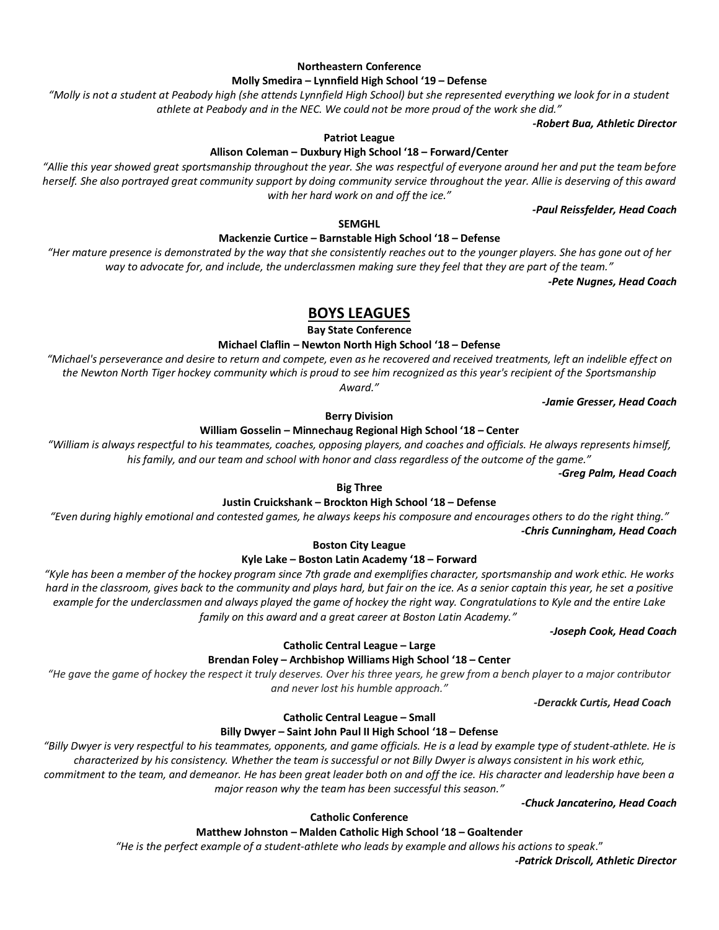## **Northeastern Conference**

#### **Molly Smedira – Lynnfield High School '19 – Defense**

*"Molly is not a student at Peabody high (she attends Lynnfield High School) but she represented everything we look for in a student athlete at Peabody and in the NEC. We could not be more proud of the work she did."*

*-Robert Bua, Athletic Director*

#### **Patriot League**

## **Allison Coleman – Duxbury High School '18 – Forward/Center**

*"Allie this year showed great sportsmanship throughout the year. She was respectful of everyone around her and put the team before herself. She also portrayed great community support by doing community service throughout the year. Allie is deserving of this award with her hard work on and off the ice."*

*-Paul Reissfelder, Head Coach*

#### **SEMGHL**

### **Mackenzie Curtice – Barnstable High School '18 – Defense**

*"Her mature presence is demonstrated by the way that she consistently reaches out to the younger players. She has gone out of her way to advocate for, and include, the underclassmen making sure they feel that they are part of the team."*

*-Pete Nugnes, Head Coach*

# **BOYS LEAGUES**

**Bay State Conference**

#### **Michael Claflin – Newton North High School '18 – Defense**

*"Michael's perseverance and desire to return and compete, even as he recovered and received treatments, left an indelible effect on the Newton North Tiger hockey community which is proud to see him recognized as this year's recipient of the Sportsmanship Award."*

*-Jamie Gresser, Head Coach*

#### **Berry Division**

#### **William Gosselin – Minnechaug Regional High School '18 – Center**

*"William is always respectful to his teammates, coaches, opposing players, and coaches and officials. He always represents himself, his family, and our team and school with honor and class regardless of the outcome of the game."*

*-Greg Palm, Head Coach*

#### **Big Three**

### **Justin Cruickshank – Brockton High School '18 – Defense**

*"Even during highly emotional and contested games, he always keeps his composure and encourages others to do the right thing." -Chris Cunningham, Head Coach*

**Boston City League**

## **Kyle Lake – Boston Latin Academy '18 – Forward**

*"Kyle has been a member of the hockey program since 7th grade and exemplifies character, sportsmanship and work ethic. He works hard in the classroom, gives back to the community and plays hard, but fair on the ice. As a senior captain this year, he set a positive example for the underclassmen and always played the game of hockey the right way. Congratulations to Kyle and the entire Lake family on this award and a great career at Boston Latin Academy."*

*-Joseph Cook, Head Coach*

## **Catholic Central League – Large**

### **Brendan Foley – Archbishop Williams High School '18 – Center**

*"He gave the game of hockey the respect it truly deserves. Over his three years, he grew from a bench player to a major contributor and never lost his humble approach."*

*-Derackk Curtis, Head Coach*

#### **Catholic Central League – Small**

## **Billy Dwyer – Saint John Paul II High School '18 – Defense**

*"Billy Dwyer is very respectful to his teammates, opponents, and game officials. He is a lead by example type of student-athlete. He is characterized by his consistency. Whether the team is successful or not Billy Dwyer is always consistent in his work ethic,* 

*commitment to the team, and demeanor. He has been great leader both on and off the ice. His character and leadership have been a major reason why the team has been successful this season."*

*-Chuck Jancaterino, Head Coach*

#### **Catholic Conference**

# **Matthew Johnston – Malden Catholic High School '18 – Goaltender**

*"He is the perfect example of a student-athlete who leads by example and allows his actions to speak*."

*-Patrick Driscoll, Athletic Director*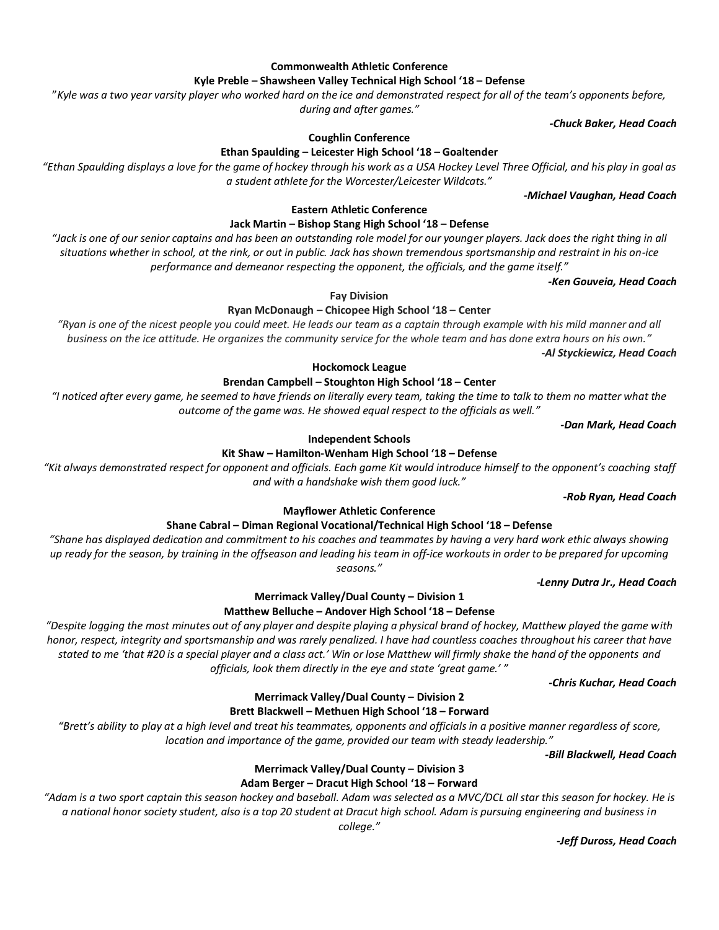*-Jeff Duross, Head Coach*

#### **Commonwealth Athletic Conference**

#### **Kyle Preble – Shawsheen Valley Technical High School '18 – Defense**

"*Kyle was a two year varsity player who worked hard on the ice and demonstrated respect for all of the team's opponents before,* 

*during and after games."*

**Coughlin Conference**

## **Ethan Spaulding – Leicester High School '18 – Goaltender**

*"Ethan Spaulding displays a love for the game of hockey through his work as a USA Hockey Level Three Official, and his play in goal as a student athlete for the Worcester/Leicester Wildcats."*

## *-Michael Vaughan, Head Coach*

*-Chuck Baker, Head Coach*

#### **Eastern Athletic Conference**

## **Jack Martin – Bishop Stang High School '18 – Defense**

*"Jack is one of our senior captains and has been an outstanding role model for our younger players. Jack does the right thing in all situations whether in school, at the rink, or out in public. Jack has shown tremendous sportsmanship and restraint in his on-ice performance and demeanor respecting the opponent, the officials, and the game itself."*

*-Ken Gouveia, Head Coach*

**Fay Division**

## **Ryan McDonaugh – Chicopee High School '18 – Center**

*"Ryan is one of the nicest people you could meet. He leads our team as a captain through example with his mild manner and all business on the ice attitude. He organizes the community service for the whole team and has done extra hours on his own." -Al Styckiewicz, Head Coach*

# **Hockomock League**

#### **Brendan Campbell – Stoughton High School '18 – Center**

*"I noticed after every game, he seemed to have friends on literally every team, taking the time to talk to them no matter what the outcome of the game was. He showed equal respect to the officials as well."*

*-Dan Mark, Head Coach*

### **Independent Schools**

## **Kit Shaw – Hamilton-Wenham High School '18 – Defense**

*"Kit always demonstrated respect for opponent and officials. Each game Kit would introduce himself to the opponent's coaching staff and with a handshake wish them good luck."*

*-Rob Ryan, Head Coach*

## **Mayflower Athletic Conference**

### **Shane Cabral – Diman Regional Vocational/Technical High School '18 – Defense**

*"Shane has displayed dedication and commitment to his coaches and teammates by having a very hard work ethic always showing up ready for the season, by training in the offseason and leading his team in off-ice workouts in order to be prepared for upcoming seasons."*

 *-Lenny Dutra Jr., Head Coach*

## **Merrimack Valley/Dual County – Division 1**

### **Matthew Belluche – Andover High School '18 – Defense**

*"Despite logging the most minutes out of any player and despite playing a physical brand of hockey, Matthew played the game with honor, respect, integrity and sportsmanship and was rarely penalized. I have had countless coaches throughout his career that have stated to me 'that #20 is a special player and a class act.' Win or lose Matthew will firmly shake the hand of the opponents and officials, look them directly in the eye and state 'great game.' "*

*-Chris Kuchar, Head Coach*

# **Brett Blackwell – Methuen High School '18 – Forward**

"Brett's ability to play at a high level and treat his teammates, opponents and officials in a positive manner regardless of score, *location and importance of the game, provided our team with steady leadership."*

## *-Bill Blackwell, Head Coach*

## **Merrimack Valley/Dual County – Division 3**

## **Adam Berger – Dracut High School '18 – Forward**

*"Adam is a two sport captain this season hockey and baseball. Adam was selected as a MVC/DCL all star this season for hockey. He is a national honor society student, also is a top 20 student at Dracut high school. Adam is pursuing engineering and business in* 

*college."*

**Merrimack Valley/Dual County – Division 2**